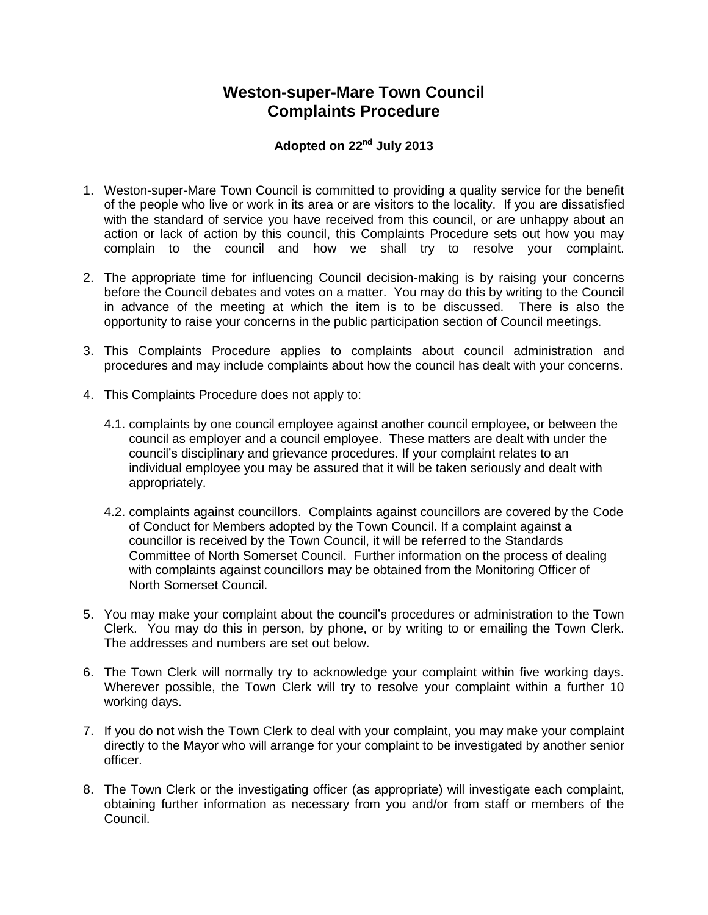## **Weston-super-Mare Town Council Complaints Procedure**

## **Adopted on 22nd July 2013**

- 1. Weston-super-Mare Town Council is committed to providing a quality service for the benefit of the people who live or work in its area or are visitors to the locality. If you are dissatisfied with the standard of service you have received from this council, or are unhappy about an action or lack of action by this council, this Complaints Procedure sets out how you may complain to the council and how we shall try to resolve your complaint.
- 2. The appropriate time for influencing Council decision-making is by raising your concerns before the Council debates and votes on a matter. You may do this by writing to the Council in advance of the meeting at which the item is to be discussed. There is also the opportunity to raise your concerns in the public participation section of Council meetings.
- 3. This Complaints Procedure applies to complaints about council administration and procedures and may include complaints about how the council has dealt with your concerns.
- 4. This Complaints Procedure does not apply to:
	- 4.1. complaints by one council employee against another council employee, or between the council as employer and a council employee. These matters are dealt with under the council's disciplinary and grievance procedures. If your complaint relates to an individual employee you may be assured that it will be taken seriously and dealt with appropriately.
	- 4.2. complaints against councillors. Complaints against councillors are covered by the Code of Conduct for Members adopted by the Town Council. If a complaint against a councillor is received by the Town Council, it will be referred to the Standards Committee of North Somerset Council. Further information on the process of dealing with complaints against councillors may be obtained from the Monitoring Officer of North Somerset Council.
- 5. You may make your complaint about the council's procedures or administration to the Town Clerk. You may do this in person, by phone, or by writing to or emailing the Town Clerk. The addresses and numbers are set out below.
- 6. The Town Clerk will normally try to acknowledge your complaint within five working days. Wherever possible, the Town Clerk will try to resolve your complaint within a further 10 working days.
- 7. If you do not wish the Town Clerk to deal with your complaint, you may make your complaint directly to the Mayor who will arrange for your complaint to be investigated by another senior officer.
- 8. The Town Clerk or the investigating officer (as appropriate) will investigate each complaint, obtaining further information as necessary from you and/or from staff or members of the Council.